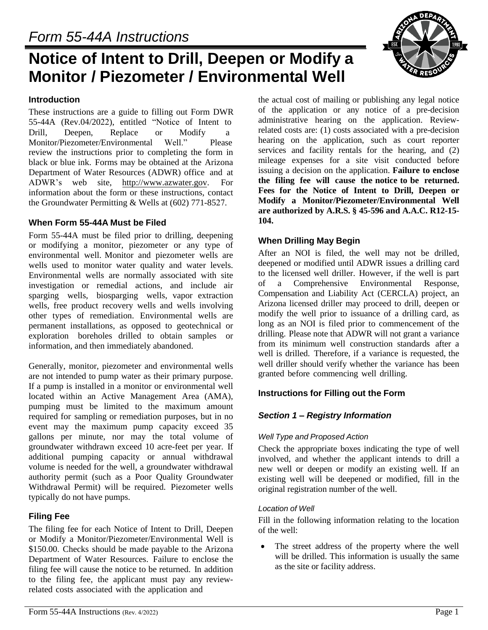# **Notice of Intent to Drill, Deepen or Modify a Monitor / Piezometer / Environmental Well**

#### **Introduction**

These instructions are a guide to filling out Form DWR 55-44A (Rev.04/2022), entitled "Notice of Intent to Drill, Deepen, Replace or Modify a Monitor/Piezometer/Environmental Well." Please review the instructions prior to completing the form in black or blue ink. Forms may be obtained at the Arizona Department of Water Resources (ADWR) office and at ADWR's web site, [http://www.azwater.gov.](http://www.azwater.gov/) For information about the form or these instructions, contact the Groundwater Permitting & Wells at (602) 771-8527.

#### **When Form 55-44A Must be Filed**

Form 55-44A must be filed prior to drilling, deepening or modifying a monitor, piezometer or any type of environmental well. Monitor and piezometer wells are wells used to monitor water quality and water levels. Environmental wells are normally associated with site investigation or remedial actions, and include air sparging wells, biosparging wells, vapor extraction wells, free product recovery wells and wells involving other types of remediation. Environmental wells are permanent installations, as opposed to geotechnical or exploration boreholes drilled to obtain samples or information, and then immediately abandoned.

Generally, monitor, piezometer and environmental wells are not intended to pump water as their primary purpose. If a pump is installed in a monitor or environmental well located within an Active Management Area (AMA), pumping must be limited to the maximum amount required for sampling or remediation purposes, but in no event may the maximum pump capacity exceed 35 gallons per minute, nor may the total volume of groundwater withdrawn exceed 10 acre-feet per year. If additional pumping capacity or annual withdrawal volume is needed for the well, a groundwater withdrawal authority permit (such as a Poor Quality Groundwater Withdrawal Permit) will be required. Piezometer wells typically do not have pumps.

# **Filing Fee**

The filing fee for each Notice of Intent to Drill, Deepen or Modify a Monitor/Piezometer/Environmental Well is \$150.00. Checks should be made payable to the Arizona Department of Water Resources. Failure to enclose the filing fee will cause the notice to be returned. In addition to the filing fee, the applicant must pay any reviewrelated costs associated with the application and

the actual cost of mailing or publishing any legal notice of the application or any notice of a pre-decision administrative hearing on the application. Reviewrelated costs are: (1) costs associated with a pre-decision hearing on the application, such as court reporter services and facility rentals for the hearing, and (2) mileage expenses for a site visit conducted before issuing a decision on the application. **Failure to enclose the filing fee will cause the notice to be returned. Fees for the Notice of Intent to Drill, Deepen or Modify a Monitor/Piezometer/Environmental Well are authorized by A.R.S. § 45-596 and A.A.C. R12-15- 104.** 

### **When Drilling May Begin**

After an NOI is filed, the well may not be drilled, deepened or modified until ADWR issues a drilling card to the licensed well driller. However, if the well is part of a Comprehensive Environmental Response, Compensation and Liability Act (CERCLA) project, an Arizona licensed driller may proceed to drill, deepen or modify the well prior to issuance of a drilling card, as long as an NOI is filed prior to commencement of the drilling. Please note that ADWR will not grant a variance from its minimum well construction standards after a well is drilled. Therefore, if a variance is requested, the well driller should verify whether the variance has been granted before commencing well drilling.

# **Instructions for Filling out the Form**

# *Section 1 – Registry Information*

#### *Well Type and Proposed Action*

Check the appropriate boxes indicating the type of well involved, and whether the applicant intends to drill a new well or deepen or modify an existing well. If an existing well will be deepened or modified, fill in the original registration number of the well.

#### *Location of Well*

Fill in the following information relating to the location of the well:

• The street address of the property where the well will be drilled. This information is usually the same as the site or facility address.

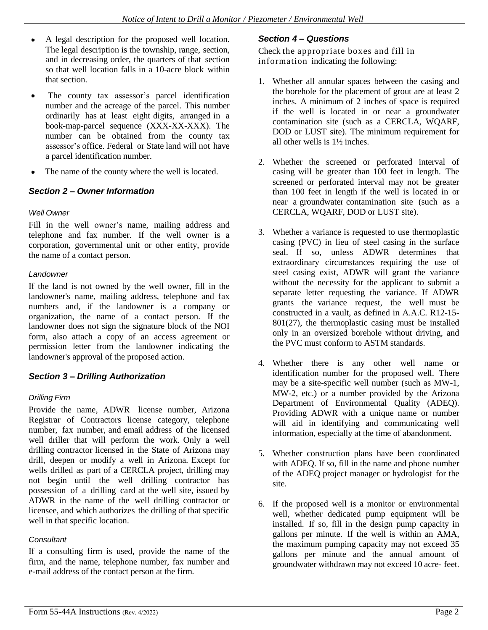- A legal description for the proposed well location. The legal description is the township, range, section, and in decreasing order, the quarters of that section so that well location falls in a 10-acre block within that section.
- The county tax assessor's parcel identification number and the acreage of the parcel. This number ordinarily has at least eight digits, arranged in a book-map-parcel sequence (XXX-XX-XXX). The number can be obtained from the county tax assessor's office. Federal or State land will not have a parcel identification number.
- The name of the county where the well is located.

#### *Section 2 – Owner Information*

#### *Well Owner*

Fill in the well owner's name, mailing address and telephone and fax number. If the well owner is a corporation, governmental unit or other entity, provide the name of a contact person.

#### *Landowner*

If the land is not owned by the well owner, fill in the landowner's name, mailing address, telephone and fax numbers and, if the landowner is a company or organization, the name of a contact person. If the landowner does not sign the signature block of the NOI form, also attach a copy of an access agreement or permission letter from the landowner indicating the landowner's approval of the proposed action.

#### *Section 3 – Drilling Authorization*

#### *Drilling Firm*

Provide the name, ADWR license number, Arizona Registrar of Contractors license category, telephone number, fax number, and email address of the licensed well driller that will perform the work. Only a well drilling contractor licensed in the State of Arizona may drill, deepen or modify a well in Arizona. Except for wells drilled as part of a CERCLA project, drilling may not begin until the well drilling contractor has possession of a drilling card at the well site, issued by ADWR in the name of the well drilling contractor or licensee, and which authorizes the drilling of that specific well in that specific location.

#### *Consultant*

If a consulting firm is used, provide the name of the firm, and the name, telephone number, fax number and e-mail address of the contact person at the firm.

# *Section 4 – Questions*

Check the appropriate boxes and fill in information indicating the following:

- 1. Whether all annular spaces between the casing and the borehole for the placement of grout are at least 2 inches. A minimum of 2 inches of space is required if the well is located in or near a groundwater contamination site (such as a CERCLA, WQARF, DOD or LUST site). The minimum requirement for all other wells is 1½ inches.
- 2. Whether the screened or perforated interval of casing will be greater than 100 feet in length. The screened or perforated interval may not be greater than 100 feet in length if the well is located in or near a groundwater contamination site (such as a CERCLA, WQARF, DOD or LUST site).
- 3. Whether a variance is requested to use thermoplastic casing (PVC) in lieu of steel casing in the surface seal. If so, unless ADWR determines that extraordinary circumstances requiring the use of steel casing exist, ADWR will grant the variance without the necessity for the applicant to submit a separate letter requesting the variance. If ADWR grants the variance request, the well must be constructed in a vault, as defined in A.A.C. R12-15- 801(27), the thermoplastic casing must be installed only in an oversized borehole without driving, and the PVC must conform to ASTM standards.
- 4. Whether there is any other well name or identification number for the proposed well. There may be a site-specific well number (such as MW-1, MW-2, etc.) or a number provided by the Arizona Department of Environmental Quality (ADEQ). Providing ADWR with a unique name or number will aid in identifying and communicating well information, especially at the time of abandonment.
- 5. Whether construction plans have been coordinated with ADEQ. If so, fill in the name and phone number of the ADEQ project manager or hydrologist for the site.
- 6. If the proposed well is a monitor or environmental well, whether dedicated pump equipment will be installed. If so, fill in the design pump capacity in gallons per minute. If the well is within an AMA, the maximum pumping capacity may not exceed 35 gallons per minute and the annual amount of groundwater withdrawn may not exceed 10 acre- feet.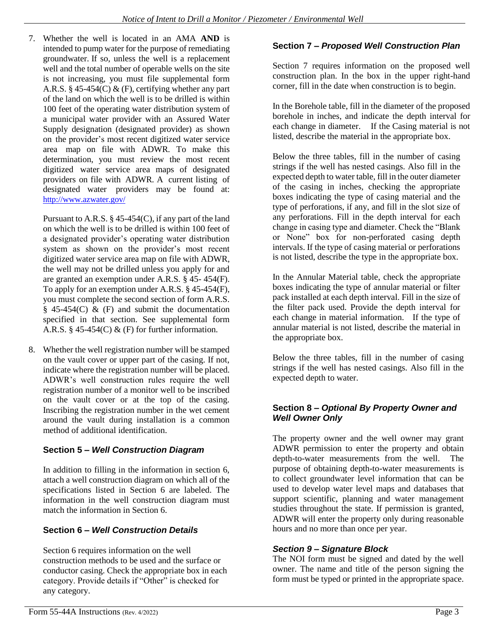7. Whether the well is located in an AMA **AND** is intended to pump water for the purpose of remediating groundwater. If so, unless the well is a replacement well and the total number of operable wells on the site is not increasing, you must file supplemental form A.R.S. § 45-454(C) & (F), certifying whether any part of the land on which the well is to be drilled is within 100 feet of the operating water distribution system of a municipal water provider with an Assured Water Supply designation (designated provider) as shown on the provider's most recent digitized water service area map on file with ADWR. To make this determination, you must review the most recent digitized water service area maps of designated providers on file with ADWR. A current listing of designated water providers may be found at: <http://www.azwater.gov/>

Pursuant to A.R.S. § 45-454(C), if any part of the land on which the well is to be drilled is within 100 feet of a designated provider's operating water distribution system as shown on the provider's most recent digitized water service area map on file with ADWR, the well may not be drilled unless you apply for and are granted an exemption under A.R.S. § 45- 454(F). To apply for an exemption under A.R.S. § 45-454(F), you must complete the second section of form A.R.S.  $§$  45-454(C) & (F) and submit the documentation specified in that section. See supplemental form A.R.S.  $\S$  45-454(C) & (F) for further information.

8. Whether the well registration number will be stamped on the vault cover or upper part of the casing. If not, indicate where the registration number will be placed. ADWR's well construction rules require the well registration number of a monitor well to be inscribed on the vault cover or at the top of the casing. Inscribing the registration number in the wet cement around the vault during installation is a common method of additional identification.

# **Section 5** *– Well Construction Diagram*

In addition to filling in the information in section 6, attach a well construction diagram on which all of the specifications listed in Section 6 are labeled. The information in the well construction diagram must match the information in Section 6.

# **Section 6 –** *Well Construction Details*

Section 6 requires information on the well construction methods to be used and the surface or conductor casing. Check the appropriate box in each category. Provide details if "Other" is checked for any category.

# **Section 7** *– Proposed Well Construction Plan*

Section 7 requires information on the proposed well construction plan. In the box in the upper right-hand corner, fill in the date when construction is to begin.

In the Borehole table, fill in the diameter of the proposed borehole in inches, and indicate the depth interval for each change in diameter. If the Casing material is not listed, describe the material in the appropriate box.

Below the three tables, fill in the number of casing strings if the well has nested casings. Also fill in the expected depth to water table, fill in the outer diameter of the casing in inches, checking the appropriate boxes indicating the type of casing material and the type of perforations, if any, and fill in the slot size of any perforations. Fill in the depth interval for each change in casing type and diameter. Check the "Blank or None" box for non-perforated casing depth intervals. If the type of casing material or perforations is not listed, describe the type in the appropriate box.

In the Annular Material table, check the appropriate boxes indicating the type of annular material or filter pack installed at each depth interval. Fill in the size of the filter pack used. Provide the depth interval for each change in material information. If the type of annular material is not listed, describe the material in the appropriate box.

Below the three tables, fill in the number of casing strings if the well has nested casings. Also fill in the expected depth to water.

### **Section 8** *– Optional By Property Owner and Well Owner Only*

The property owner and the well owner may grant ADWR permission to enter the property and obtain depth-to-water measurements from the well. The purpose of obtaining depth-to-water measurements is to collect groundwater level information that can be used to develop water level maps and databases that support scientific, planning and water management studies throughout the state. If permission is granted, ADWR will enter the property only during reasonable hours and no more than once per year.

# *Section 9 – Signature Block*

The NOI form must be signed and dated by the well owner. The name and title of the person signing the form must be typed or printed in the appropriate space.